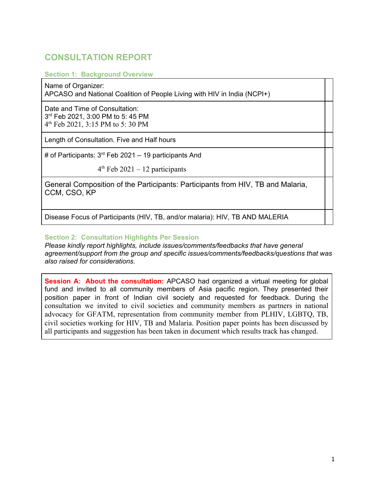## **CONSULTATION REPORT**

**Section 1: Background Overview**

Name of Organizer:

APCASO and National Coalition of People Living with HIV in India (NCPI+)

Date and Time of Consultation: 3 rd Feb 2021, 3:00 PM to 5: 45 PM 4 th Feb 2021, 3:15 PM to 5: 30 PM

Length of Consultation. Five and Half hours

# of Participants:  $3<sup>rd</sup>$  Feb 2021 – 19 participants And

 4  $4<sup>th</sup>$  Feb 2021 – 12 participants

General Composition of the Participants: Participants from HIV, TB and Malaria, CCM, CSO, KP

Disease Focus of Participants (HIV, TB, and/or malaria): HIV, TB AND MALERIA

### **Section 2: Consultation Highlights Per Session**

*Please kindly report highlights, include issues/comments/feedbacks that have general agreement/support from the group and specific issues/comments/feedbacks/questions that was also raised for considerations.* 

**Session A: About the consultation:** APCASO had organized a virtual meeting for global fund and invited to all community members of Asia pacific region. They presented their position paper in front of Indian civil society and requested for feedback. During the consultation we invited to civil societies and community members as partners in national advocacy for GFATM, representation from community member from PLHIV, LGBTQ, TB, civil societies working for HIV, TB and Malaria. Position paper points has been discussed by all participants and suggestion has been taken in document which results track has changed.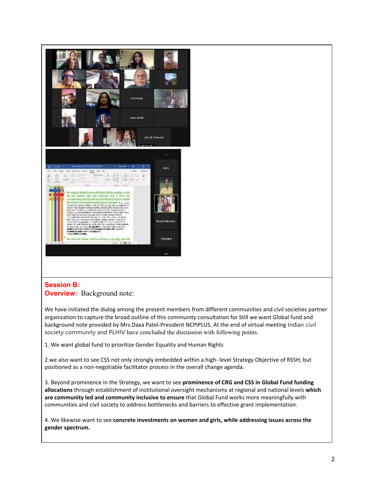

### **Session B: Overview:** Background note:

We have initiated the dialog among the present members from different communities and civil societies partner organization to capture the broad outline of this community consultation for Still we want Global fund and background note provided by Mrs.Daxa Patel-President NCPIPLUS. At the end of virtual meeting Indian civil society community and PLHIV have concluded the discussion with following points.

1. We want global fund to prioritize Gender Equality and Human Rights

2.we also want to see CSS not only strongly embedded within a high- level Strategy Objective of RSSH, but positioned as a non-negotiable facilitator process in the overall change agenda.

3. Beyond prominence in the Strategy, we want to see **prominence of CRG and CSS in Global Fund funding allocations** through establishment of institutional oversight mechanisms at regional and national levels **which are community led and community inclusive to ensure** that Global Fund works more meaningfully with communities and civil society to address bottlenecks and barriers to effective grant implementation.

4. We likewise want to see **concrete investments on women and girls, while addressing issues across the gender spectrum.**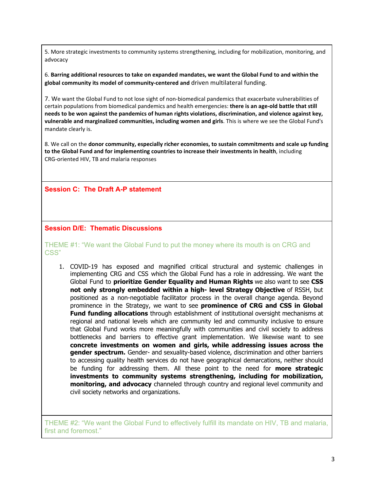5. More strategic investments to community systems strengthening, including for mobilization, monitoring, and advocacy

6. **Barring additional resources to take on expanded mandates, we want the Global Fund to and within the global community its model of community-centered and** driven multilateral funding.

7. We want the Global Fund to not lose sight of non-biomedical pandemics that exacerbate vulnerabilities of certain populations from biomedical pandemics and health emergencies: **there is an age-old battle that still needs to be won against the pandemics of human rights violations, discrimination, and violence against key, vulnerable and marginalized communities, including women and girls**. This is where we see the Global Fund's mandate clearly is.

8. We call on the **donor community, especially richer economies, to sustain commitments and scale up funding to the Global Fund and for implementing countries to increase their investments in health**, including CRG-oriented HIV, TB and malaria responses

**Session C: The Draft A-P statement** 

#### **Session D/E: Thematic Discussions**

THEME #1: "We want the Global Fund to put the money where its mouth is on CRG and CSS"

1. COVID-19 has exposed and magnified critical structural and systemic challenges in implementing CRG and CSS which the Global Fund has a role in addressing. We want the Global Fund to **prioritize Gender Equality and Human Rights** we also want to see **CSS not only strongly embedded within a high- level Strategy Objective** of RSSH, but positioned as a non-negotiable facilitator process in the overall change agenda. Beyond prominence in the Strategy, we want to see **prominence of CRG and CSS in Global Fund funding allocations** through establishment of institutional oversight mechanisms at regional and national levels which are community led and community inclusive to ensure that Global Fund works more meaningfully with communities and civil society to address bottlenecks and barriers to effective grant implementation. We likewise want to see **concrete investments on women and girls, while addressing issues across the gender spectrum.** Gender- and sexuality-based violence, discrimination and other barriers to accessing quality health services do not have geographical demarcations, neither should be funding for addressing them. All these point to the need for **more strategic investments to community systems strengthening, including for mobilization, monitoring, and advocacy** channeled through country and regional level community and civil society networks and organizations.

THEME #2: "We want the Global Fund to effectively fulfill its mandate on HIV, TB and malaria, first and foremost."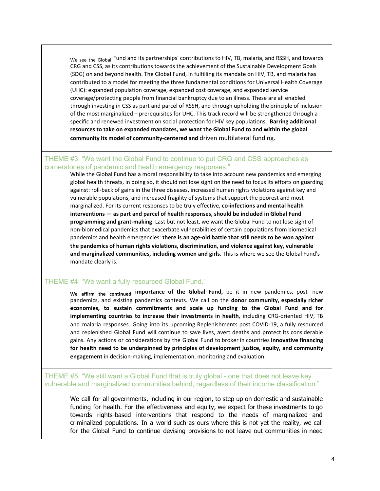We see the Global Fund and its partnerships' contributions to HIV, TB, malaria, and RSSH, and towards CRG and CSS, as its contributions towards the achievement of the Sustainable Development Goals (SDG) on and beyond health. The Global Fund, in fulfilling its mandate on HIV, TB, and malaria has contributed to a model for meeting the three fundamental conditions for Universal Health Coverage (UHC): expanded population coverage, expanded cost coverage, and expanded service coverage/protecting people from financial bankruptcy due to an illness. These are all enabled through investing in CSS as part and parcel of RSSH, and through upholding the principle of inclusion of the most marginalized – prerequisites for UHC. This track record will be strengthened through a specific and renewed investment on social protection for HIV key populations. **Barring additional resources to take on expanded mandates, we want the Global Fund to and within the global community its model of community-centered and** driven multilateral funding.

#### THEME #3: "We want the Global Fund to continue to put CRG and CSS approaches as cornerstones of pandemic and health emergency responses."

While the Global Fund has a moral responsibility to take into account new pandemics and emerging global health threats, in doing so, it should not lose sight on the need to focus its efforts on guarding against: roll-back of gains in the three diseases, increased human rights violations against key and vulnerable populations, and increased fragility of systems that support the poorest and most marginalized. For its current responses to be truly effective, **co-infections and mental health interventions — as part and parcel of health responses, should be included in Global Fund programming and grant-making**. Last but not least, we want the Global Fund to not lose sight of non-biomedical pandemics that exacerbate vulnerabilities of certain populations from biomedical pandemics and health emergencies: **there is an age-old battle that still needs to be won against the pandemics of human rights violations, discrimination, and violence against key, vulnerable and marginalized communities, including women and girls**. This is where we see the Global Fund's mandate clearly is.

#### THEME #4: "We want a fully resourced Global Fund."

**We affirm the continued importance of the Global Fund,** be it in new pandemics, post- new pandemics, and existing pandemics contexts. We call on the **donor community, especially richer economies, to sustain commitments and scale up funding to the Global Fund and for implementing countries to increase their investments in health**, including CRG-oriented HIV, TB and malaria responses. Going into its upcoming Replenishments post COVID-19, a fully resourced and replenished Global Fund will continue to save lives, avert deaths and protect its considerable gains. Any actions or considerations by the Global Fund to broker in countries **innovative financing for health need to be underpinned by principles of development justice, equity, and community engagement** in decision-making, implementation, monitoring and evaluation.

THEME #5: "We still want a Global Fund that is truly global - one that does not leave key vulnerable and marginalized communities behind, regardless of their income classification."

We call for all governments, including in our region, to step up on domestic and sustainable funding for health. For the effectiveness and equity, we expect for these investments to go towards rights-based interventions that respond to the needs of marginalized and criminalized populations. In a world such as ours where this is not yet the reality, we call for the Global Fund to continue devising provisions to not leave out communities in need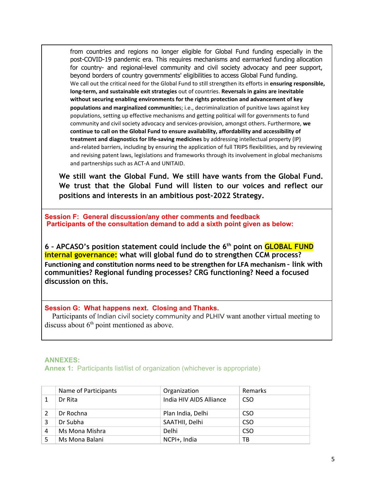from countries and regions no longer eligible for Global Fund funding especially in the post-COVID-19 pandemic era. This requires mechanisms and earmarked funding allocation for country- and regional-level community and civil society advocacy and peer support, beyond borders of country governments' eligibilities to access Global Fund funding. We call out the critical need for the Global Fund to still strengthen its efforts in **ensuring responsible, long-term, and sustainable exit strategies** out of countries. **Reversals in gains are inevitable without securing enabling environments for the rights protection and advancement of key populations and marginalized communitie**s; i.e., decriminalization of punitive laws against key populations, setting up effective mechanisms and getting political will for governments to fund community and civil society advocacy and services-provision, amongst others. Furthermore, **we continue to call on the Global Fund to ensure availability, affordability and accessibility of treatment and diagnostics for life-saving medicines** by addressing intellectual property (IP) and-related barriers, including by ensuring the application of full TRIPS flexibilities, and by reviewing and revising patent laws, legislations and frameworks through its involvement in global mechanisms and partnerships such as ACT-A and UNITAID.

We still want the Global Fund. We still have wants from the Global Fund. We trust that the Global Fund will listen to our voices and reflect our **positions and interests in an ambitious post-2022 Strategy.** 

**Session F: General discussion/any other comments and feedback Participants of the consultation demand to add a sixth point given as below:**

**6 – APCASO's position statement could include the 6th point on GLOBAL FUND internal governance: what will global fund do to strengthen CCM process? Functioning and constitution norms need to be strengthen for LFA mechanism – link with communities? Regional funding processes? CRG functioning? Need a focused discussion on this.** 

#### **Session G: What happens next. Closing and Thanks.**

 Participants of Indian civil society community and PLHIV want another virtual meeting to discuss about  $6<sup>th</sup>$  point mentioned as above.

# **ANNEXES:**

**Annex 1:** Participants list/list of organization (whichever is appropriate)

|   | Name of Participants | Organization            | Remarks    |
|---|----------------------|-------------------------|------------|
|   | Dr Rita              | India HIV AIDS Alliance | <b>CSO</b> |
|   | Dr Rochna            | Plan India, Delhi       | CSO.       |
| 3 | Dr Subha             | SAATHII, Delhi          | <b>CSO</b> |
| 4 | Ms Mona Mishra       | Delhi                   | <b>CSO</b> |
|   | Ms Mona Balani       | NCPI+, India            | тв         |